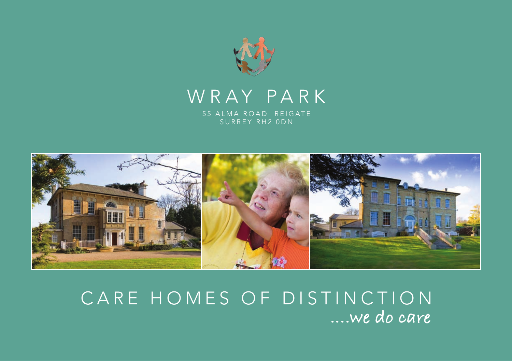

## WRAY PARK

55 ALMA ROAD REIGATE SURREY RH2 0DN



## CARE HOMES OF DISTINCTION **....we do care**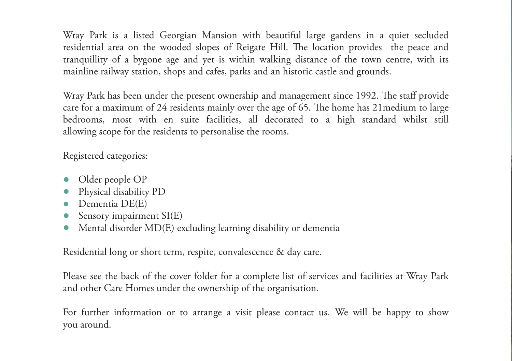Wray Park is a listed Georgian Mansion with beautiful large gardens in a quiet secluded residential area on the wooded slopes of Reigate Hill. The location provides the peace and tranquillity of a bygone age and yet is within walking distance of the town centre, with its mainline railway station, shops and cafes, parks and an historic castle and grounds.

Wray Park has been under the present ownership and management since 1992. The staff provide care for a maximum of 24 residents mainly over the age of 65. The home has 21medium to large bedrooms, most with en suite facilities, all decorated to a high standard whilst still allowing scope for the residents to personalise the rooms.

Registered categories:

- Older people OP
- Physical disability PD
- Dementia DE(E)
- Sensory impairment  $SI(E)$
- Mental disorder MD(E) excluding learning disability or dementia

Residential long or short term, respite, convalescence & day care.

Please see the back of the cover folder for a complete list of services and facilities at Wray Park and other Care Homes under the ownership of the organisation.

For further information or to arrange a visit please contact us. We will be happy to show you around.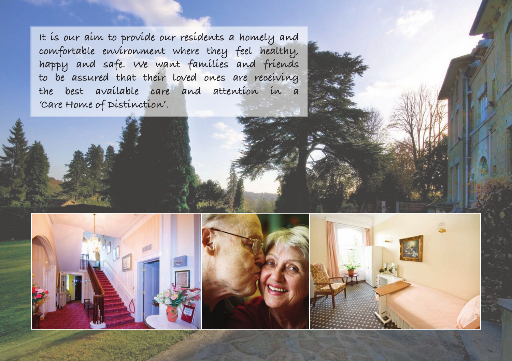**It is our aim to provide our residents a homely and comfortable environment where they feel healthy, happy and safe. We want families and friends to be assured that their loved ones are receiving the best available care and attention in a 'Care Home of Distinction'.**